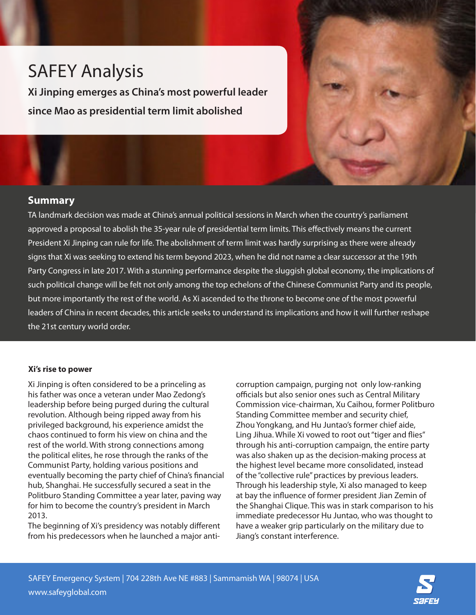# SAFEY Analysis

**Xi Jinping emerges as China's most powerful leader since Mao as presidential term limit abolished**



## **Summary**

TA landmark decision was made at China's annual political sessions in March when the country's parliament approved a proposal to abolish the 35-year rule of presidential term limits. This effectively means the current President Xi Jinping can rule for life. The abolishment of term limit was hardly surprising as there were already signs that Xi was seeking to extend his term beyond 2023, when he did not name a clear successor at the 19th Party Congress in late 2017. With a stunning performance despite the sluggish global economy, the implications of such political change will be felt not only among the top echelons of the Chinese Communist Party and its people, but more importantly the rest of the world. As Xi ascended to the throne to become one of the most powerful leaders of China in recent decades, this article seeks to understand its implications and how it will further reshape the 21st century world order.

#### **Xi's rise to power**

Xi Jinping is often considered to be a princeling as his father was once a veteran under Mao Zedong's leadership before being purged during the cultural revolution. Although being ripped away from his privileged background, his experience amidst the chaos continued to form his view on china and the rest of the world. With strong connections among the political elites, he rose through the ranks of the Communist Party, holding various positions and eventually becoming the party chief of China's financial hub, Shanghai. He successfully secured a seat in the Politburo Standing Committee a year later, paving way for him to become the country's president in March 2013.

The beginning of Xi's presidency was notably different from his predecessors when he launched a major anticorruption campaign, purging not only low-ranking officials but also senior ones such as Central Military Commission vice-chairman, Xu Caihou, former Politburo Standing Committee member and security chief, Zhou Yongkang, and Hu Juntao's former chief aide, Ling Jihua. While Xi vowed to root out "tiger and flies" through his anti-corruption campaign, the entire party was also shaken up as the decision-making process at the highest level became more consolidated, instead of the "collective rule" practices by previous leaders. Through his leadership style, Xi also managed to keep at bay the influence of former president Jian Zemin of the Shanghai Clique. This was in stark comparison to his immediate predecessor Hu Juntao, who was thought to have a weaker grip particularly on the military due to Jiang's constant interference.

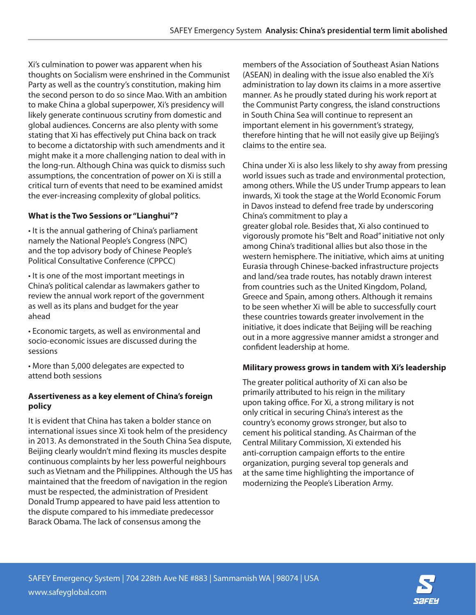Xi's culmination to power was apparent when his thoughts on Socialism were enshrined in the Communist Party as well as the country's constitution, making him the second person to do so since Mao. With an ambition to make China a global superpower, Xi's presidency will likely generate continuous scrutiny from domestic and global audiences. Concerns are also plenty with some stating that Xi has effectively put China back on track to become a dictatorship with such amendments and it might make it a more challenging nation to deal with in the long-run. Although China was quick to dismiss such assumptions, the concentration of power on Xi is still a critical turn of events that need to be examined amidst the ever-increasing complexity of global politics.

## **What is the Two Sessions or "Lianghui"?**

• It is the annual gathering of China's parliament namely the National People's Congress (NPC) and the top advisory body of Chinese People's Political Consultative Conference (CPPCC)

• It is one of the most important meetings in China's political calendar as lawmakers gather to review the annual work report of the government as well as its plans and budget for the year ahead

• Economic targets, as well as environmental and socio-economic issues are discussed during the sessions

• More than 5,000 delegates are expected to attend both sessions

#### **Assertiveness as a key element of China's foreign policy**

It is evident that China has taken a bolder stance on international issues since Xi took helm of the presidency in 2013. As demonstrated in the South China Sea dispute, Beijing clearly wouldn't mind flexing its muscles despite continuous complaints by her less powerful neighbours such as Vietnam and the Philippines. Although the US has maintained that the freedom of navigation in the region must be respected, the administration of President Donald Trump appeared to have paid less attention to the dispute compared to his immediate predecessor Barack Obama. The lack of consensus among the

members of the Association of Southeast Asian Nations (ASEAN) in dealing with the issue also enabled the Xi's administration to lay down its claims in a more assertive manner. As he proudly stated during his work report at the Communist Party congress, the island constructions in South China Sea will continue to represent an important element in his government's strategy, therefore hinting that he will not easily give up Beijing's claims to the entire sea.

China under Xi is also less likely to shy away from pressing world issues such as trade and environmental protection, among others. While the US under Trump appears to lean inwards, Xi took the stage at the World Economic Forum in Davos instead to defend free trade by underscoring China's commitment to play a greater global role. Besides that, Xi also continued to vigorously promote his "Belt and Road" initiative not only among China's traditional allies but also those in the western hemisphere. The initiative, which aims at uniting Eurasia through Chinese-backed infrastructure projects and land/sea trade routes, has notably drawn interest from countries such as the United Kingdom, Poland, Greece and Spain, among others. Although it remains to be seen whether Xi will be able to successfully court these countries towards greater involvement in the initiative, it does indicate that Beijing will be reaching out in a more aggressive manner amidst a stronger and confident leadership at home.

### **Military prowess grows in tandem with Xi's leadership**

The greater political authority of Xi can also be primarily attributed to his reign in the military upon taking office. For Xi, a strong military is not only critical in securing China's interest as the country's economy grows stronger, but also to cement his political standing. As Chairman of the Central Military Commission, Xi extended his anti-corruption campaign efforts to the entire organization, purging several top generals and at the same time highlighting the importance of modernizing the People's Liberation Army.

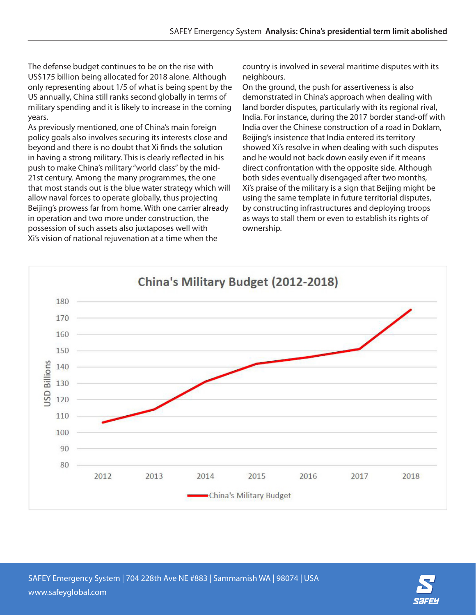The defense budget continues to be on the rise with US\$175 billion being allocated for 2018 alone. Although only representing about 1/5 of what is being spent by the US annually, China still ranks second globally in terms of military spending and it is likely to increase in the coming years.

As previously mentioned, one of China's main foreign policy goals also involves securing its interests close and beyond and there is no doubt that Xi finds the solution in having a strong military. This is clearly reflected in his push to make China's military "world class" by the mid-21st century. Among the many programmes, the one that most stands out is the blue water strategy which will allow naval forces to operate globally, thus projecting Beijing's prowess far from home. With one carrier already in operation and two more under construction, the possession of such assets also juxtaposes well with Xi's vision of national rejuvenation at a time when the

country is involved in several maritime disputes with its neighbours.

On the ground, the push for assertiveness is also demonstrated in China's approach when dealing with land border disputes, particularly with its regional rival, India. For instance, during the 2017 border stand-off with India over the Chinese construction of a road in Doklam, Beijing's insistence that India entered its territory showed Xi's resolve in when dealing with such disputes and he would not back down easily even if it means direct confrontation with the opposite side. Although both sides eventually disengaged after two months, Xi's praise of the military is a sign that Beijing might be using the same template in future territorial disputes, by constructing infrastructures and deploying troops as ways to stall them or even to establish its rights of ownership.